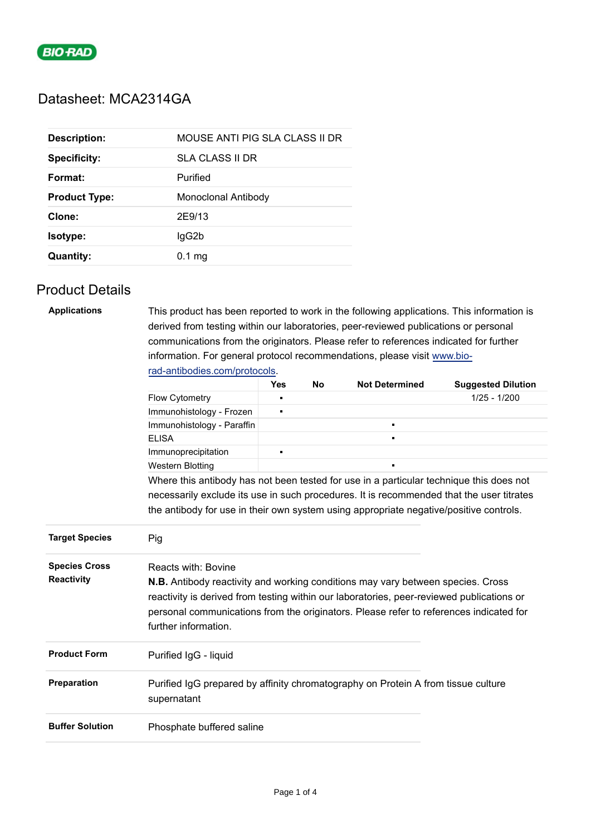

## Datasheet: MCA2314GA

| <b>Description:</b>  | MOUSE ANTI PIG SLA CLASS II DR |
|----------------------|--------------------------------|
| <b>Specificity:</b>  | SLA CLASS II DR                |
| Format:              | Purified                       |
| <b>Product Type:</b> | Monoclonal Antibody            |
| Clone:               | 2E9/13                         |
| Isotype:             | lgG2b                          |
| <b>Quantity:</b>     | $0.1 \text{ mg}$               |

## Product Details

| <b>Applications</b>   | This product has been reported to work in the following applications. This information is<br>derived from testing within our laboratories, peer-reviewed publications or personal   |                |    |                       |                           |  |  |  |  |  |
|-----------------------|-------------------------------------------------------------------------------------------------------------------------------------------------------------------------------------|----------------|----|-----------------------|---------------------------|--|--|--|--|--|
|                       | communications from the originators. Please refer to references indicated for further                                                                                               |                |    |                       |                           |  |  |  |  |  |
|                       | information. For general protocol recommendations, please visit www.bio-                                                                                                            |                |    |                       |                           |  |  |  |  |  |
|                       | rad-antibodies.com/protocols.                                                                                                                                                       |                |    |                       |                           |  |  |  |  |  |
|                       |                                                                                                                                                                                     | <b>Yes</b>     | No | <b>Not Determined</b> | <b>Suggested Dilution</b> |  |  |  |  |  |
|                       | Flow Cytometry                                                                                                                                                                      | п              |    |                       | $1/25 - 1/200$            |  |  |  |  |  |
|                       | Immunohistology - Frozen                                                                                                                                                            | $\blacksquare$ |    |                       |                           |  |  |  |  |  |
|                       | Immunohistology - Paraffin                                                                                                                                                          |                |    | ٠                     |                           |  |  |  |  |  |
|                       | <b>ELISA</b>                                                                                                                                                                        |                |    |                       |                           |  |  |  |  |  |
|                       | Immunoprecipitation                                                                                                                                                                 | $\blacksquare$ |    |                       |                           |  |  |  |  |  |
|                       | <b>Western Blotting</b>                                                                                                                                                             |                |    |                       |                           |  |  |  |  |  |
|                       | Where this antibody has not been tested for use in a particular technique this does not                                                                                             |                |    |                       |                           |  |  |  |  |  |
|                       | necessarily exclude its use in such procedures. It is recommended that the user titrates                                                                                            |                |    |                       |                           |  |  |  |  |  |
|                       | the antibody for use in their own system using appropriate negative/positive controls.                                                                                              |                |    |                       |                           |  |  |  |  |  |
| <b>Target Species</b> | Pig                                                                                                                                                                                 |                |    |                       |                           |  |  |  |  |  |
|                       |                                                                                                                                                                                     |                |    |                       |                           |  |  |  |  |  |
| <b>Species Cross</b>  | Reacts with: Bovine                                                                                                                                                                 |                |    |                       |                           |  |  |  |  |  |
| <b>Reactivity</b>     |                                                                                                                                                                                     |                |    |                       |                           |  |  |  |  |  |
|                       | <b>N.B.</b> Antibody reactivity and working conditions may vary between species. Cross<br>reactivity is derived from testing within our laboratories, peer-reviewed publications or |                |    |                       |                           |  |  |  |  |  |
|                       |                                                                                                                                                                                     |                |    |                       |                           |  |  |  |  |  |
|                       |                                                                                                                                                                                     |                |    |                       |                           |  |  |  |  |  |
|                       | personal communications from the originators. Please refer to references indicated for                                                                                              |                |    |                       |                           |  |  |  |  |  |
|                       | further information.                                                                                                                                                                |                |    |                       |                           |  |  |  |  |  |
| <b>Product Form</b>   | Purified IgG - liquid                                                                                                                                                               |                |    |                       |                           |  |  |  |  |  |
| Preparation           | Purified IgG prepared by affinity chromatography on Protein A from tissue culture<br>supernatant                                                                                    |                |    |                       |                           |  |  |  |  |  |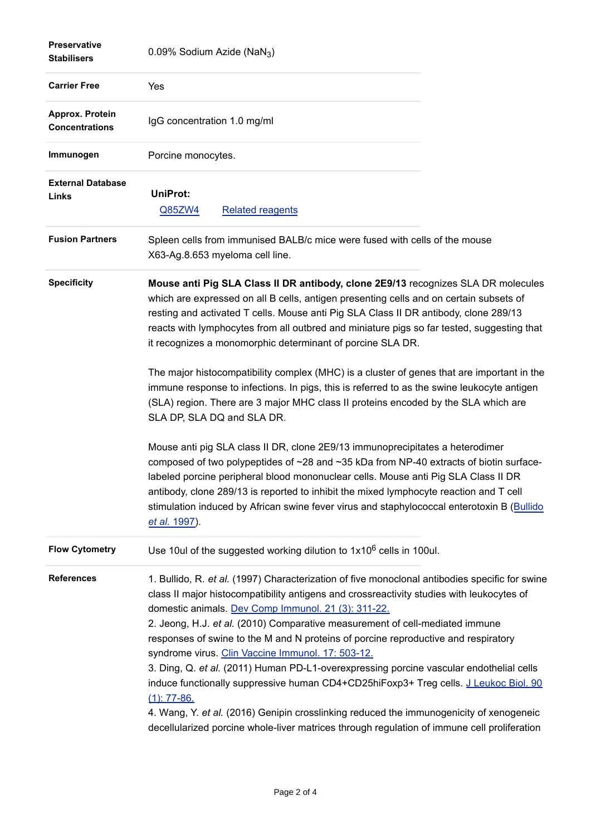| <b>Preservative</b><br><b>Stabilisers</b> | 0.09% Sodium Azide (NaN <sub>3</sub> )                                                                                                                                                                                                                                                                                                                                                                                                                                                                                                                                                                                                                                                                                                                                                                                                                                       |
|-------------------------------------------|------------------------------------------------------------------------------------------------------------------------------------------------------------------------------------------------------------------------------------------------------------------------------------------------------------------------------------------------------------------------------------------------------------------------------------------------------------------------------------------------------------------------------------------------------------------------------------------------------------------------------------------------------------------------------------------------------------------------------------------------------------------------------------------------------------------------------------------------------------------------------|
| <b>Carrier Free</b>                       | Yes                                                                                                                                                                                                                                                                                                                                                                                                                                                                                                                                                                                                                                                                                                                                                                                                                                                                          |
| Approx. Protein<br><b>Concentrations</b>  | IgG concentration 1.0 mg/ml                                                                                                                                                                                                                                                                                                                                                                                                                                                                                                                                                                                                                                                                                                                                                                                                                                                  |
| Immunogen                                 | Porcine monocytes.                                                                                                                                                                                                                                                                                                                                                                                                                                                                                                                                                                                                                                                                                                                                                                                                                                                           |
| <b>External Database</b><br>Links         | UniProt:<br>Q85ZW4<br><b>Related reagents</b>                                                                                                                                                                                                                                                                                                                                                                                                                                                                                                                                                                                                                                                                                                                                                                                                                                |
| <b>Fusion Partners</b>                    | Spleen cells from immunised BALB/c mice were fused with cells of the mouse<br>X63-Ag.8.653 myeloma cell line.                                                                                                                                                                                                                                                                                                                                                                                                                                                                                                                                                                                                                                                                                                                                                                |
| <b>Specificity</b>                        | Mouse anti Pig SLA Class II DR antibody, clone 2E9/13 recognizes SLA DR molecules<br>which are expressed on all B cells, antigen presenting cells and on certain subsets of<br>resting and activated T cells. Mouse anti Pig SLA Class II DR antibody, clone 289/13<br>reacts with lymphocytes from all outbred and miniature pigs so far tested, suggesting that<br>it recognizes a monomorphic determinant of porcine SLA DR.                                                                                                                                                                                                                                                                                                                                                                                                                                              |
|                                           | The major histocompatibility complex (MHC) is a cluster of genes that are important in the<br>immune response to infections. In pigs, this is referred to as the swine leukocyte antigen<br>(SLA) region. There are 3 major MHC class II proteins encoded by the SLA which are<br>SLA DP, SLA DQ and SLA DR.                                                                                                                                                                                                                                                                                                                                                                                                                                                                                                                                                                 |
|                                           | Mouse anti pig SLA class II DR, clone 2E9/13 immunoprecipitates a heterodimer<br>composed of two polypeptides of ~28 and ~35 kDa from NP-40 extracts of biotin surface-<br>labeled porcine peripheral blood mononuclear cells. Mouse anti Pig SLA Class II DR<br>antibody, clone 289/13 is reported to inhibit the mixed lymphocyte reaction and T cell<br>stimulation induced by African swine fever virus and staphylococcal enterotoxin B (Bullido<br>et al. 1997).                                                                                                                                                                                                                                                                                                                                                                                                       |
| <b>Flow Cytometry</b>                     | Use 10ul of the suggested working dilution to 1x10 <sup>6</sup> cells in 100ul.                                                                                                                                                                                                                                                                                                                                                                                                                                                                                                                                                                                                                                                                                                                                                                                              |
| <b>References</b>                         | 1. Bullido, R. et al. (1997) Characterization of five monoclonal antibodies specific for swine<br>class II major histocompatibility antigens and crossreactivity studies with leukocytes of<br>domestic animals. Dev Comp Immunol. 21 (3): 311-22.<br>2. Jeong, H.J. et al. (2010) Comparative measurement of cell-mediated immune<br>responses of swine to the M and N proteins of porcine reproductive and respiratory<br>syndrome virus. Clin Vaccine Immunol. 17: 503-12.<br>3. Ding, Q. et al. (2011) Human PD-L1-overexpressing porcine vascular endothelial cells<br>induce functionally suppressive human CD4+CD25hiFoxp3+ Treg cells. J Leukoc Biol. 90<br>$(1)$ : 77-86.<br>4. Wang, Y. et al. (2016) Genipin crosslinking reduced the immunogenicity of xenogeneic<br>decellularized porcine whole-liver matrices through regulation of immune cell proliferation |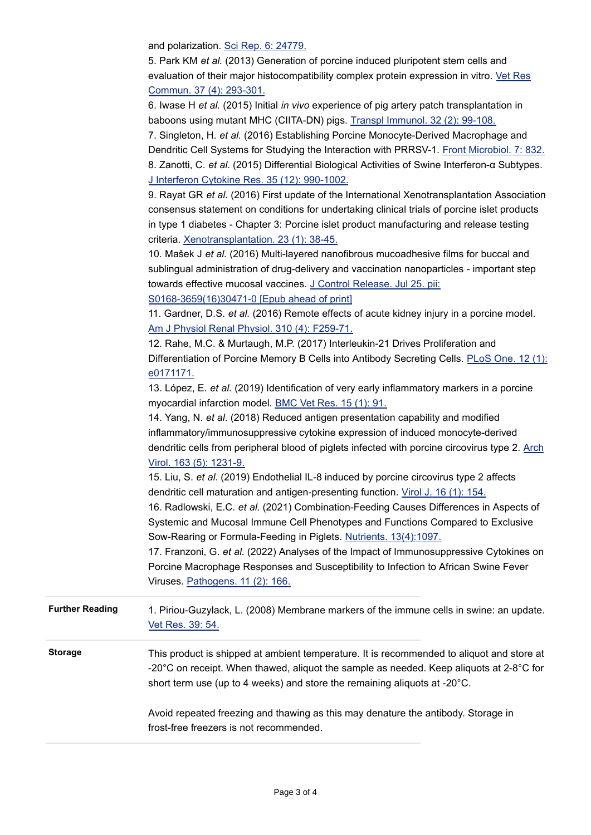and polarization. [Sci Rep. 6: 24779.](http://www.ncbi.nlm.nih.gov/pubmed/27098308)

5. Park KM *et al.* (2013) Generation of porcine induced pluripotent stem cells and evaluation of their major histocompatibility complex protein expression in vitro. [Vet Res](http://www.ncbi.nlm.nih.gov/pubmed/23975685) Commun. 37 (4): 293-301.

6. Iwase H *et al.* (2015) Initial *in vivo* experience of pig artery patch transplantation in baboons using mutant MHC (CIITA-DN) pigs. [Transpl Immunol. 32 \(2\): 99-108.](http://www.ncbi.nlm.nih.gov/pubmed/25687023)

7. Singleton, H. *et al.* (2016) Establishing Porcine Monocyte-Derived Macrophage and Dendritic Cell Systems for Studying the Interaction with PRRSV-1. [Front Microbiol. 7: 832.](http://www.ncbi.nlm.nih.gov/pubmed/27313573) 8. Zanotti, C. *et al.* (2015) Differential Biological Activities of Swine Interferon-α Subtypes. [J Interferon Cytokine Res. 35 \(12\): 990-1002.](http://www.ncbi.nlm.nih.gov/pubmed/26447602)

9. Rayat GR *et al.* (2016) First update of the International Xenotransplantation Association consensus statement on conditions for undertaking clinical trials of porcine islet products in type 1 diabetes - Chapter 3: Porcine islet product manufacturing and release testing criteria. [Xenotransplantation. 23 \(1\): 38-45.](http://www.ncbi.nlm.nih.gov/pubmed/26923763)

10. Mašek J *et al.* (2016) Multi-layered nanofibrous mucoadhesive films for buccal and sublingual administration of drug-delivery and vaccination nanoparticles - important step towards effective mucosal vaccines. [J Control Release. Jul 25. pii:](http://www.ncbi.nlm.nih.gov/pubmed/27469472) S0168-3659(16)30471-0 [Epub ahead of print]

11. Gardner, D.S. *et al.* (2016) Remote effects of acute kidney injury in a porcine model. [Am J Physiol Renal Physiol. 310 \(4\): F259-71.](http://www.ncbi.nlm.nih.gov/pubmed/26608790)

12. Rahe, M.C. & Murtaugh, M.P. (2017) Interleukin-21 Drives Proliferation and Differentiation of Porcine Memory B Cells into Antibody Secreting Cells. [PLoS One. 12 \(1\):](http://www.ncbi.nlm.nih.gov/pubmed/28125737) e0171171.

13. López, E. *et al.* (2019) Identification of very early inflammatory markers in a porcine myocardial infarction model. [BMC Vet Res. 15 \(1\): 91.](http://www.ncbi.nlm.nih.gov/pubmed/30898123)

14. Yang, N. *et al.* (2018) Reduced antigen presentation capability and modified inflammatory/immunosuppressive cytokine expression of induced monocyte-derived dendritic cells from peripheral blood of piglets infected with porcine circovirus type 2. [Arch](http://www.ncbi.nlm.nih.gov/pubmed/29397454) Virol. 163 (5): 1231-9.

15. Liu, S. *et al.* (2019) Endothelial IL-8 induced by porcine circovirus type 2 affects dendritic cell maturation and antigen-presenting function. [Virol J. 16 \(1\): 154.](http://www.ncbi.nlm.nih.gov/pubmed/31831027)

16. Radlowski, E.C. *et al.* (2021) Combination-Feeding Causes Differences in Aspects of Systemic and Mucosal Immune Cell Phenotypes and Functions Compared to Exclusive Sow-Rearing or Formula-Feeding in Piglets. [Nutrients. 13\(4\):1097.](http://www.ncbi.nlm.nih.gov/pubmed/33801785)

17. Franzoni, G. *et al.* (2022) Analyses of the Impact of Immunosuppressive Cytokines on Porcine Macrophage Responses and Susceptibility to Infection to African Swine Fever Viruses. [Pathogens. 11 \(2\): 166.](http://www.ncbi.nlm.nih.gov/pubmed/35215110)

Further Reading 1. Piriou-Guzylack, L. (2008) Membrane markers of the immune cells in swine: an update. [Vet Res. 39: 54.](http://www.ncbi.nlm.nih.gov/pubmed/18638439)

**Storage** This product is shipped at ambient temperature. It is recommended to aliquot and store at -20°C on receipt. When thawed, aliquot the sample as needed. Keep aliquots at 2-8°C for short term use (up to 4 weeks) and store the remaining aliquots at -20°C.

> Avoid repeated freezing and thawing as this may denature the antibody. Storage in frost-free freezers is not recommended.